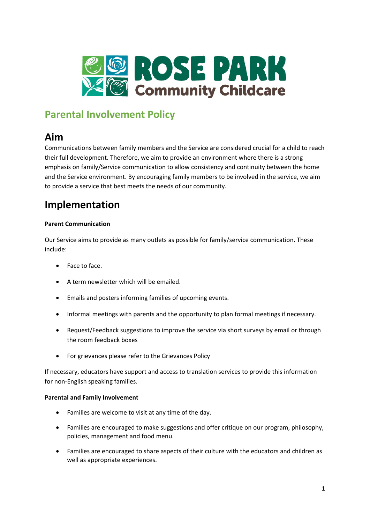

# **Parental Involvement Policy**

## **Aim**

Communications between family members and the Service are considered crucial for a child to reach their full development. Therefore, we aim to provide an environment where there is a strong emphasis on family/Service communication to allow consistency and continuity between the home and the Service environment. By encouraging family members to be involved in the service, we aim to provide a service that best meets the needs of our community.

## **Implementation**

### **Parent Communication**

Our Service aims to provide as many outlets as possible for family/service communication. These include:

- Face to face.
- A term newsletter which will be emailed.
- Emails and posters informing families of upcoming events.
- Informal meetings with parents and the opportunity to plan formal meetings if necessary.
- Request/Feedback suggestions to improve the service via short surveys by email or through the room feedback boxes
- For grievances please refer to the Grievances Policy

If necessary, educators have support and access to translation services to provide this information for non-English speaking families.

#### **Parental and Family Involvement**

- Families are welcome to visit at any time of the day.
- Families are encouraged to make suggestions and offer critique on our program, philosophy, policies, management and food menu.
- Families are encouraged to share aspects of their culture with the educators and children as well as appropriate experiences.